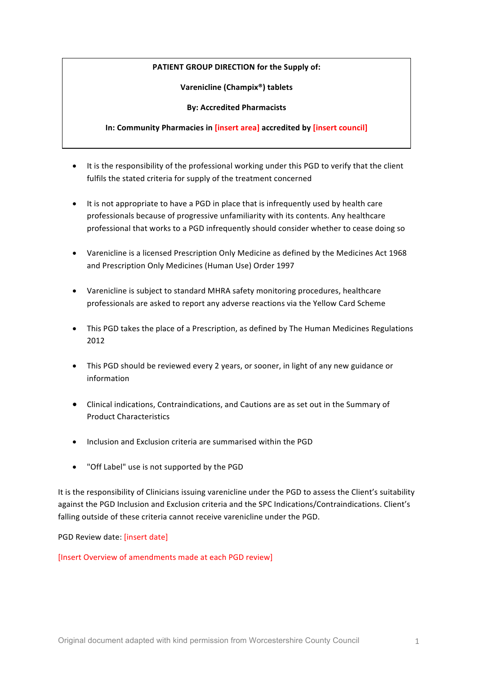# **PATIENT GROUP DIRECTION for the Supply of:**

**Varenicline (Champix®) tablets**

## **By: Accredited Pharmacists**

# **In: Community Pharmacies in [insert area] accredited by [insert council]**

- It is the responsibility of the professional working under this PGD to verify that the client fulfils the stated criteria for supply of the treatment concerned
- It is not appropriate to have a PGD in place that is infrequently used by health care professionals because of progressive unfamiliarity with its contents. Any healthcare professional that works to a PGD infrequently should consider whether to cease doing so
- Varenicline is a licensed Prescription Only Medicine as defined by the Medicines Act 1968 and Prescription Only Medicines (Human Use) Order 1997
- Varenicline is subject to standard MHRA safety monitoring procedures, healthcare professionals are asked to report any adverse reactions via the Yellow Card Scheme
- This PGD takes the place of a Prescription, as defined by The Human Medicines Regulations 2012
- This PGD should be reviewed every 2 years, or sooner, in light of any new guidance or information
- Clinical indications, Contraindications, and Cautions are as set out in the Summary of Product Characteristics
- Inclusion and Exclusion criteria are summarised within the PGD
- "Off Label" use is not supported by the PGD

It is the responsibility of Clinicians issuing varenicline under the PGD to assess the Client's suitability against the PGD Inclusion and Exclusion criteria and the SPC Indications/Contraindications. Client's falling outside of these criteria cannot receive varenicline under the PGD.

PGD Review date: [insert date]

[Insert Overview of amendments made at each PGD review]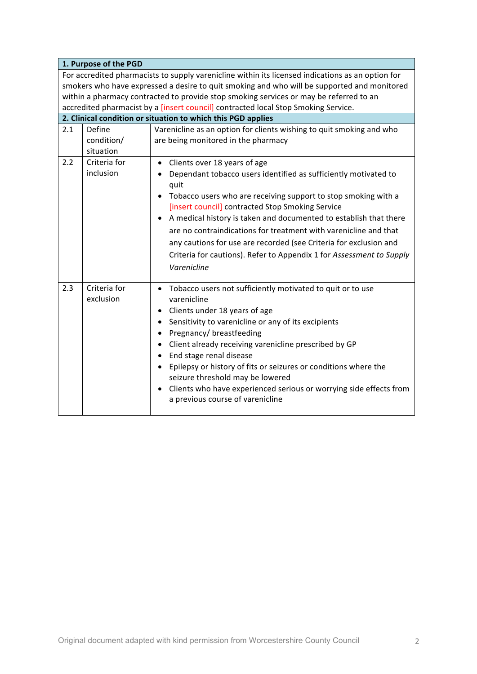|     | 1. Purpose of the PGD             |                                                                                                                                                                                                                                                                                                                                                                                                                                                                                                                                                                                         |
|-----|-----------------------------------|-----------------------------------------------------------------------------------------------------------------------------------------------------------------------------------------------------------------------------------------------------------------------------------------------------------------------------------------------------------------------------------------------------------------------------------------------------------------------------------------------------------------------------------------------------------------------------------------|
|     |                                   | For accredited pharmacists to supply varenicline within its licensed indications as an option for<br>smokers who have expressed a desire to quit smoking and who will be supported and monitored<br>within a pharmacy contracted to provide stop smoking services or may be referred to an<br>accredited pharmacist by a [insert council] contracted local Stop Smoking Service.                                                                                                                                                                                                        |
|     |                                   | 2. Clinical condition or situation to which this PGD applies                                                                                                                                                                                                                                                                                                                                                                                                                                                                                                                            |
| 2.1 | Define<br>condition/<br>situation | Varenicline as an option for clients wishing to quit smoking and who<br>are being monitored in the pharmacy                                                                                                                                                                                                                                                                                                                                                                                                                                                                             |
| 2.2 | Criteria for<br>inclusion         | Clients over 18 years of age<br>$\bullet$<br>• Dependant tobacco users identified as sufficiently motivated to<br>quit<br>Tobacco users who are receiving support to stop smoking with a<br>٠<br>[insert council] contracted Stop Smoking Service<br>A medical history is taken and documented to establish that there<br>$\bullet$<br>are no contraindications for treatment with varenicline and that<br>any cautions for use are recorded (see Criteria for exclusion and<br>Criteria for cautions). Refer to Appendix 1 for Assessment to Supply<br>Varenicline                     |
| 2.3 | Criteria for<br>exclusion         | • Tobacco users not sufficiently motivated to quit or to use<br>varenicline<br>Clients under 18 years of age<br>٠<br>Sensitivity to varenicline or any of its excipients<br>$\bullet$<br>Pregnancy/ breastfeeding<br>$\bullet$<br>Client already receiving varenicline prescribed by GP<br>$\bullet$<br>End stage renal disease<br>$\bullet$<br>Epilepsy or history of fits or seizures or conditions where the<br>$\bullet$<br>seizure threshold may be lowered<br>Clients who have experienced serious or worrying side effects from<br>$\bullet$<br>a previous course of varenicline |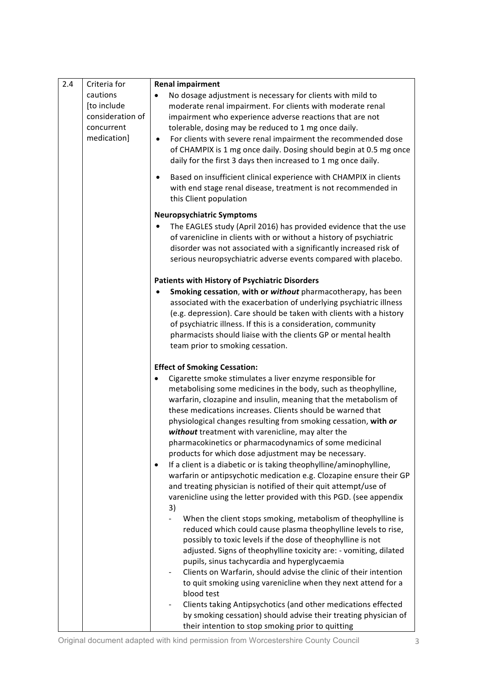| 2.4 | Criteria for<br><b>Renal impairment</b>                                  |                                                                                                                                                                                                                                                                                                                                                                                                                                                                                                                                                                                                                                                                                                                                                                                                                 |
|-----|--------------------------------------------------------------------------|-----------------------------------------------------------------------------------------------------------------------------------------------------------------------------------------------------------------------------------------------------------------------------------------------------------------------------------------------------------------------------------------------------------------------------------------------------------------------------------------------------------------------------------------------------------------------------------------------------------------------------------------------------------------------------------------------------------------------------------------------------------------------------------------------------------------|
|     | cautions<br>[to include<br>consideration of<br>concurrent<br>medication] | No dosage adjustment is necessary for clients with mild to<br>moderate renal impairment. For clients with moderate renal<br>impairment who experience adverse reactions that are not<br>tolerable, dosing may be reduced to 1 mg once daily.<br>For clients with severe renal impairment the recommended dose<br>$\bullet$<br>of CHAMPIX is 1 mg once daily. Dosing should begin at 0.5 mg once<br>daily for the first 3 days then increased to 1 mg once daily.                                                                                                                                                                                                                                                                                                                                                |
|     |                                                                          | Based on insufficient clinical experience with CHAMPIX in clients<br>$\bullet$<br>with end stage renal disease, treatment is not recommended in<br>this Client population                                                                                                                                                                                                                                                                                                                                                                                                                                                                                                                                                                                                                                       |
|     |                                                                          | <b>Neuropsychiatric Symptoms</b>                                                                                                                                                                                                                                                                                                                                                                                                                                                                                                                                                                                                                                                                                                                                                                                |
|     |                                                                          | The EAGLES study (April 2016) has provided evidence that the use<br>٠<br>of varenicline in clients with or without a history of psychiatric<br>disorder was not associated with a significantly increased risk of<br>serious neuropsychiatric adverse events compared with placebo.                                                                                                                                                                                                                                                                                                                                                                                                                                                                                                                             |
|     |                                                                          | <b>Patients with History of Psychiatric Disorders</b>                                                                                                                                                                                                                                                                                                                                                                                                                                                                                                                                                                                                                                                                                                                                                           |
|     |                                                                          | Smoking cessation, with or without pharmacotherapy, has been<br>associated with the exacerbation of underlying psychiatric illness<br>(e.g. depression). Care should be taken with clients with a history<br>of psychiatric illness. If this is a consideration, community<br>pharmacists should liaise with the clients GP or mental health<br>team prior to smoking cessation.                                                                                                                                                                                                                                                                                                                                                                                                                                |
|     |                                                                          | <b>Effect of Smoking Cessation:</b>                                                                                                                                                                                                                                                                                                                                                                                                                                                                                                                                                                                                                                                                                                                                                                             |
|     |                                                                          | Cigarette smoke stimulates a liver enzyme responsible for<br>metabolising some medicines in the body, such as theophylline,<br>warfarin, clozapine and insulin, meaning that the metabolism of<br>these medications increases. Clients should be warned that<br>physiological changes resulting from smoking cessation, with or<br>without treatment with varenicline, may alter the<br>pharmacokinetics or pharmacodynamics of some medicinal<br>products for which dose adjustment may be necessary.<br>If a client is a diabetic or is taking theophylline/aminophylline,<br>$\bullet$<br>warfarin or antipsychotic medication e.g. Clozapine ensure their GP<br>and treating physician is notified of their quit attempt/use of<br>varenicline using the letter provided with this PGD. (see appendix<br>3) |
|     |                                                                          | When the client stops smoking, metabolism of theophylline is<br>reduced which could cause plasma theophylline levels to rise,<br>possibly to toxic levels if the dose of theophylline is not<br>adjusted. Signs of theophylline toxicity are: - vomiting, dilated<br>pupils, sinus tachycardia and hyperglycaemia<br>Clients on Warfarin, should advise the clinic of their intention<br>$\qquad \qquad \blacksquare$<br>to quit smoking using varenicline when they next attend for a<br>blood test<br>Clients taking Antipsychotics (and other medications effected<br>by smoking cessation) should advise their treating physician of<br>their intention to stop smoking prior to quitting                                                                                                                   |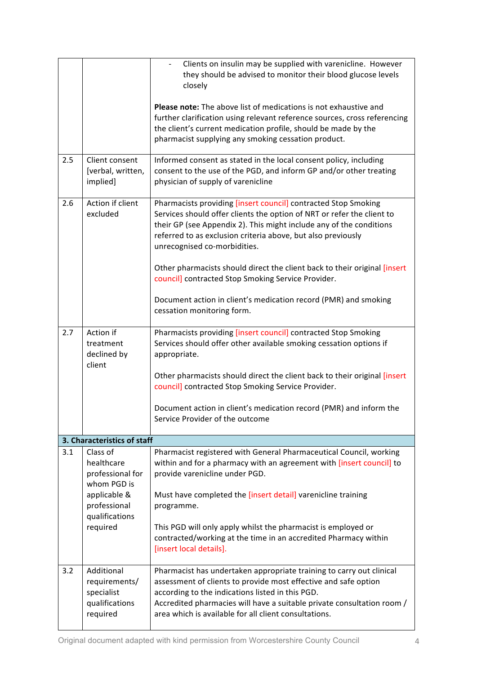|     |                                                                         | Clients on insulin may be supplied with varenicline. However<br>$\blacksquare$<br>they should be advised to monitor their blood glucose levels<br>closely<br><b>Please note:</b> The above list of medications is not exhaustive and                                                                                           |
|-----|-------------------------------------------------------------------------|--------------------------------------------------------------------------------------------------------------------------------------------------------------------------------------------------------------------------------------------------------------------------------------------------------------------------------|
|     |                                                                         | further clarification using relevant reference sources, cross referencing<br>the client's current medication profile, should be made by the<br>pharmacist supplying any smoking cessation product.                                                                                                                             |
| 2.5 | Client consent<br>[verbal, written,<br>implied]                         | Informed consent as stated in the local consent policy, including<br>consent to the use of the PGD, and inform GP and/or other treating<br>physician of supply of varenicline                                                                                                                                                  |
| 2.6 | Action if client<br>excluded                                            | Pharmacists providing [insert council] contracted Stop Smoking<br>Services should offer clients the option of NRT or refer the client to<br>their GP (see Appendix 2). This might include any of the conditions<br>referred to as exclusion criteria above, but also previously<br>unrecognised co-morbidities.                |
|     |                                                                         | Other pharmacists should direct the client back to their original [insert<br>council] contracted Stop Smoking Service Provider.                                                                                                                                                                                                |
|     |                                                                         | Document action in client's medication record (PMR) and smoking<br>cessation monitoring form.                                                                                                                                                                                                                                  |
| 2.7 | Action if<br>treatment<br>declined by<br>client                         | Pharmacists providing [insert council] contracted Stop Smoking<br>Services should offer other available smoking cessation options if<br>appropriate.                                                                                                                                                                           |
|     |                                                                         | Other pharmacists should direct the client back to their original [insert<br>council] contracted Stop Smoking Service Provider.                                                                                                                                                                                                |
|     |                                                                         | Document action in client's medication record (PMR) and inform the<br>Service Provider of the outcome                                                                                                                                                                                                                          |
|     | 3. Characteristics of staff                                             |                                                                                                                                                                                                                                                                                                                                |
| 3.1 | Class of<br>healthcare<br>professional for<br>whom PGD is               | Pharmacist registered with General Pharmaceutical Council, working<br>within and for a pharmacy with an agreement with [insert council] to<br>provide varenicline under PGD.                                                                                                                                                   |
|     | applicable &<br>professional<br>qualifications                          | Must have completed the [insert detail] varenicline training<br>programme.                                                                                                                                                                                                                                                     |
|     | required                                                                | This PGD will only apply whilst the pharmacist is employed or<br>contracted/working at the time in an accredited Pharmacy within<br>[insert local details].                                                                                                                                                                    |
| 3.2 | Additional<br>requirements/<br>specialist<br>qualifications<br>required | Pharmacist has undertaken appropriate training to carry out clinical<br>assessment of clients to provide most effective and safe option<br>according to the indications listed in this PGD.<br>Accredited pharmacies will have a suitable private consultation room /<br>area which is available for all client consultations. |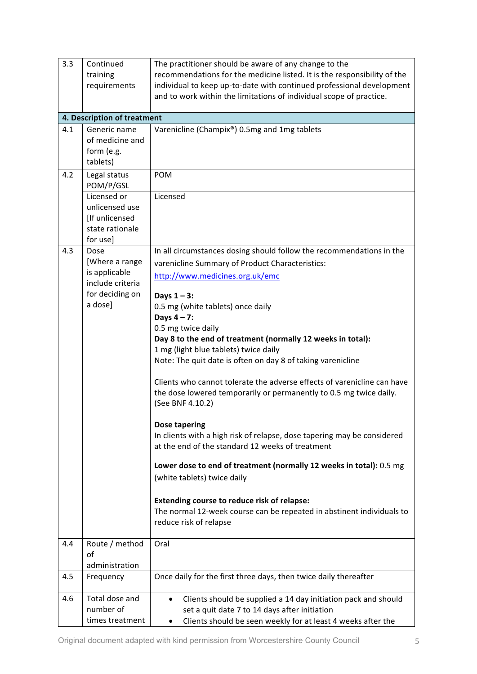| 3.3 | Continued<br>training<br>requirements                                          | The practitioner should be aware of any change to the<br>recommendations for the medicine listed. It is the responsibility of the<br>individual to keep up-to-date with continued professional development<br>and to work within the limitations of individual scope of practice. |
|-----|--------------------------------------------------------------------------------|-----------------------------------------------------------------------------------------------------------------------------------------------------------------------------------------------------------------------------------------------------------------------------------|
|     | 4. Description of treatment                                                    |                                                                                                                                                                                                                                                                                   |
| 4.1 | Generic name<br>of medicine and<br>form (e.g.<br>tablets)                      | Varenicline (Champix®) 0.5mg and 1mg tablets                                                                                                                                                                                                                                      |
| 4.2 | Legal status<br>POM/P/GSL                                                      | <b>POM</b>                                                                                                                                                                                                                                                                        |
|     | Licensed or<br>unlicensed use<br>[If unlicensed<br>state rationale<br>for use] | Licensed                                                                                                                                                                                                                                                                          |
| 4.3 | Dose<br>[Where a range<br>is applicable<br>include criteria                    | In all circumstances dosing should follow the recommendations in the<br>varenicline Summary of Product Characteristics:<br>http://www.medicines.org.uk/emc                                                                                                                        |
|     | for deciding on<br>a dose]                                                     | Days $1 - 3$ :<br>0.5 mg (white tablets) once daily<br>Days $4 - 7$ :<br>0.5 mg twice daily                                                                                                                                                                                       |
|     |                                                                                | Day 8 to the end of treatment (normally 12 weeks in total):<br>1 mg (light blue tablets) twice daily                                                                                                                                                                              |
|     |                                                                                | Note: The quit date is often on day 8 of taking varenicline                                                                                                                                                                                                                       |
|     |                                                                                | Clients who cannot tolerate the adverse effects of varenicline can have<br>the dose lowered temporarily or permanently to 0.5 mg twice daily.<br>(See BNF 4.10.2)                                                                                                                 |
|     |                                                                                | <b>Dose tapering</b>                                                                                                                                                                                                                                                              |
|     |                                                                                | In clients with a high risk of relapse, dose tapering may be considered<br>at the end of the standard 12 weeks of treatment                                                                                                                                                       |
|     |                                                                                | Lower dose to end of treatment (normally 12 weeks in total): 0.5 mg<br>(white tablets) twice daily                                                                                                                                                                                |
|     |                                                                                | <b>Extending course to reduce risk of relapse:</b><br>The normal 12-week course can be repeated in abstinent individuals to<br>reduce risk of relapse                                                                                                                             |
| 4.4 | Route / method<br>of<br>administration                                         | Oral                                                                                                                                                                                                                                                                              |
| 4.5 | Frequency                                                                      | Once daily for the first three days, then twice daily thereafter                                                                                                                                                                                                                  |
| 4.6 | Total dose and<br>number of<br>times treatment                                 | Clients should be supplied a 14 day initiation pack and should<br>set a quit date 7 to 14 days after initiation<br>Clients should be seen weekly for at least 4 weeks after the<br>٠                                                                                              |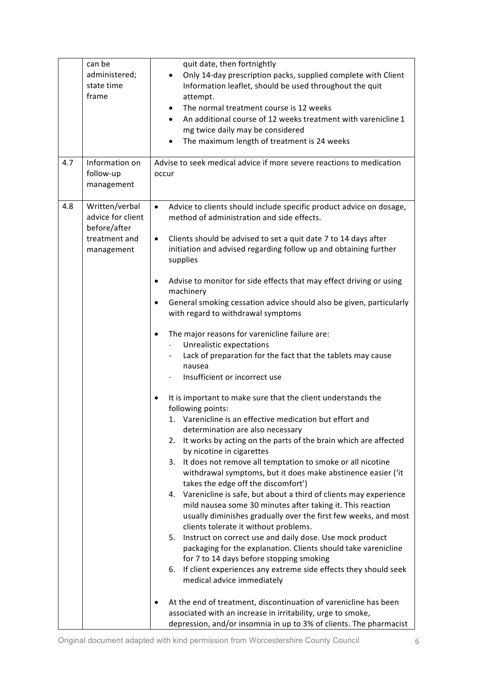|     | can be                                                                             | quit date, then fortnightly                                                                                                                                                                                                                                                                                                                                                                                                                                                                                                                                                                                                                                                                                                                                                                                                                                                                                                                                                                                                                                                                                                                                                                                                                                                                                                                                                                                                                                                                                                                                                                                                                                                                                                            |
|-----|------------------------------------------------------------------------------------|----------------------------------------------------------------------------------------------------------------------------------------------------------------------------------------------------------------------------------------------------------------------------------------------------------------------------------------------------------------------------------------------------------------------------------------------------------------------------------------------------------------------------------------------------------------------------------------------------------------------------------------------------------------------------------------------------------------------------------------------------------------------------------------------------------------------------------------------------------------------------------------------------------------------------------------------------------------------------------------------------------------------------------------------------------------------------------------------------------------------------------------------------------------------------------------------------------------------------------------------------------------------------------------------------------------------------------------------------------------------------------------------------------------------------------------------------------------------------------------------------------------------------------------------------------------------------------------------------------------------------------------------------------------------------------------------------------------------------------------|
|     | administered;<br>state time<br>frame                                               | Only 14-day prescription packs, supplied complete with Client<br>Information leaflet, should be used throughout the quit<br>attempt.<br>The normal treatment course is 12 weeks<br>$\bullet$<br>An additional course of 12 weeks treatment with varenicline 1<br>mg twice daily may be considered<br>The maximum length of treatment is 24 weeks                                                                                                                                                                                                                                                                                                                                                                                                                                                                                                                                                                                                                                                                                                                                                                                                                                                                                                                                                                                                                                                                                                                                                                                                                                                                                                                                                                                       |
| 4.7 | Information on<br>follow-up<br>management                                          | Advise to seek medical advice if more severe reactions to medication<br>occur                                                                                                                                                                                                                                                                                                                                                                                                                                                                                                                                                                                                                                                                                                                                                                                                                                                                                                                                                                                                                                                                                                                                                                                                                                                                                                                                                                                                                                                                                                                                                                                                                                                          |
| 4.8 | Written/verbal<br>advice for client<br>before/after<br>treatment and<br>management | Advice to clients should include specific product advice on dosage,<br>$\bullet$<br>method of administration and side effects.<br>Clients should be advised to set a quit date 7 to 14 days after<br>$\bullet$<br>initiation and advised regarding follow up and obtaining further<br>supplies<br>Advise to monitor for side effects that may effect driving or using<br>$\bullet$<br>machinery<br>General smoking cessation advice should also be given, particularly<br>$\bullet$<br>with regard to withdrawal symptoms<br>The major reasons for varenicline failure are:<br>$\bullet$<br>Unrealistic expectations<br>Lack of preparation for the fact that the tablets may cause<br>nausea<br>Insufficient or incorrect use<br>It is important to make sure that the client understands the<br>following points:<br>Varenicline is an effective medication but effort and<br>determination are also necessary<br>It works by acting on the parts of the brain which are affected<br>2.<br>by nicotine in cigarettes<br>3. It does not remove all temptation to smoke or all nicotine<br>withdrawal symptoms, but it does make abstinence easier ('it<br>takes the edge off the discomfort')<br>4. Varenicline is safe, but about a third of clients may experience<br>mild nausea some 30 minutes after taking it. This reaction<br>usually diminishes gradually over the first few weeks, and most<br>clients tolerate it without problems.<br>Instruct on correct use and daily dose. Use mock product<br>5.<br>packaging for the explanation. Clients should take varenicline<br>for 7 to 14 days before stopping smoking<br>If client experiences any extreme side effects they should seek<br>6.<br>medical advice immediately |
|     |                                                                                    | At the end of treatment, discontinuation of varenicline has been<br>٠<br>associated with an increase in irritability, urge to smoke,<br>depression, and/or insomnia in up to 3% of clients. The pharmacist                                                                                                                                                                                                                                                                                                                                                                                                                                                                                                                                                                                                                                                                                                                                                                                                                                                                                                                                                                                                                                                                                                                                                                                                                                                                                                                                                                                                                                                                                                                             |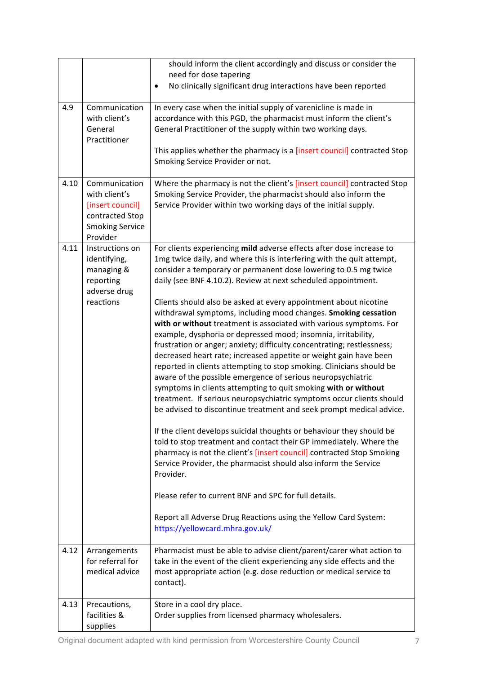|      |                                                                                                             | should inform the client accordingly and discuss or consider the<br>need for dose tapering                                                                                                                                                                                                                                                                                                                                                                                                                                                                                                                                                                                                                                                                                                                                                                                                                                                                                                                                                                                                                                                                                                                          |
|------|-------------------------------------------------------------------------------------------------------------|---------------------------------------------------------------------------------------------------------------------------------------------------------------------------------------------------------------------------------------------------------------------------------------------------------------------------------------------------------------------------------------------------------------------------------------------------------------------------------------------------------------------------------------------------------------------------------------------------------------------------------------------------------------------------------------------------------------------------------------------------------------------------------------------------------------------------------------------------------------------------------------------------------------------------------------------------------------------------------------------------------------------------------------------------------------------------------------------------------------------------------------------------------------------------------------------------------------------|
|      |                                                                                                             | No clinically significant drug interactions have been reported                                                                                                                                                                                                                                                                                                                                                                                                                                                                                                                                                                                                                                                                                                                                                                                                                                                                                                                                                                                                                                                                                                                                                      |
| 4.9  | Communication<br>with client's<br>General<br>Practitioner                                                   | In every case when the initial supply of varenicline is made in<br>accordance with this PGD, the pharmacist must inform the client's<br>General Practitioner of the supply within two working days.<br>This applies whether the pharmacy is a [insert council] contracted Stop                                                                                                                                                                                                                                                                                                                                                                                                                                                                                                                                                                                                                                                                                                                                                                                                                                                                                                                                      |
|      |                                                                                                             | Smoking Service Provider or not.                                                                                                                                                                                                                                                                                                                                                                                                                                                                                                                                                                                                                                                                                                                                                                                                                                                                                                                                                                                                                                                                                                                                                                                    |
| 4.10 | Communication<br>with client's<br>[insert council]<br>contracted Stop<br><b>Smoking Service</b><br>Provider | Where the pharmacy is not the client's [insert council] contracted Stop<br>Smoking Service Provider, the pharmacist should also inform the<br>Service Provider within two working days of the initial supply.                                                                                                                                                                                                                                                                                                                                                                                                                                                                                                                                                                                                                                                                                                                                                                                                                                                                                                                                                                                                       |
| 4.11 | Instructions on<br>identifying,<br>managing &<br>reporting<br>adverse drug<br>reactions                     | For clients experiencing mild adverse effects after dose increase to<br>1mg twice daily, and where this is interfering with the quit attempt,<br>consider a temporary or permanent dose lowering to 0.5 mg twice<br>daily (see BNF 4.10.2). Review at next scheduled appointment.<br>Clients should also be asked at every appointment about nicotine<br>withdrawal symptoms, including mood changes. Smoking cessation<br>with or without treatment is associated with various symptoms. For<br>example, dysphoria or depressed mood; insomnia, irritability,<br>frustration or anger; anxiety; difficulty concentrating; restlessness;<br>decreased heart rate; increased appetite or weight gain have been<br>reported in clients attempting to stop smoking. Clinicians should be<br>aware of the possible emergence of serious neuropsychiatric<br>symptoms in clients attempting to quit smoking with or without<br>treatment. If serious neuropsychiatric symptoms occur clients should<br>be advised to discontinue treatment and seek prompt medical advice.<br>If the client develops suicidal thoughts or behaviour they should be<br>told to stop treatment and contact their GP immediately. Where the |
|      |                                                                                                             | pharmacy is not the client's [insert council] contracted Stop Smoking<br>Service Provider, the pharmacist should also inform the Service<br>Provider.<br>Please refer to current BNF and SPC for full details.<br>Report all Adverse Drug Reactions using the Yellow Card System:<br>https://yellowcard.mhra.gov.uk/                                                                                                                                                                                                                                                                                                                                                                                                                                                                                                                                                                                                                                                                                                                                                                                                                                                                                                |
| 4.12 | Arrangements<br>for referral for<br>medical advice                                                          | Pharmacist must be able to advise client/parent/carer what action to<br>take in the event of the client experiencing any side effects and the<br>most appropriate action (e.g. dose reduction or medical service to<br>contact).                                                                                                                                                                                                                                                                                                                                                                                                                                                                                                                                                                                                                                                                                                                                                                                                                                                                                                                                                                                    |
| 4.13 | Precautions,<br>facilities &<br>supplies                                                                    | Store in a cool dry place.<br>Order supplies from licensed pharmacy wholesalers.                                                                                                                                                                                                                                                                                                                                                                                                                                                                                                                                                                                                                                                                                                                                                                                                                                                                                                                                                                                                                                                                                                                                    |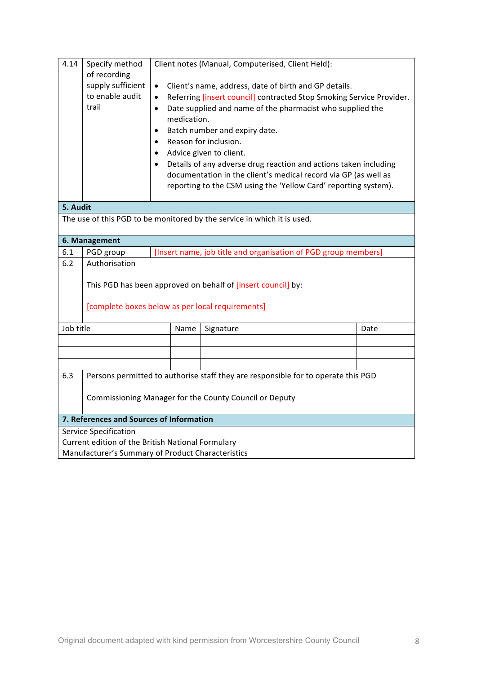| 4.14<br>Specify method<br>Client notes (Manual, Computerised, Client Held):<br>of recording |                                                                                   |                                                                                                                                                                                                                                                                                                                                                                                                                                                                                                                                                 |                                                                         |      |
|---------------------------------------------------------------------------------------------|-----------------------------------------------------------------------------------|-------------------------------------------------------------------------------------------------------------------------------------------------------------------------------------------------------------------------------------------------------------------------------------------------------------------------------------------------------------------------------------------------------------------------------------------------------------------------------------------------------------------------------------------------|-------------------------------------------------------------------------|------|
|                                                                                             | supply sufficient<br>to enable audit<br>trail                                     | Client's name, address, date of birth and GP details.<br>$\bullet$<br>Referring [insert council] contracted Stop Smoking Service Provider.<br>$\bullet$<br>Date supplied and name of the pharmacist who supplied the<br>$\bullet$<br>medication.<br>Batch number and expiry date.<br>Reason for inclusion.<br>Advice given to client.<br>Details of any adverse drug reaction and actions taken including<br>documentation in the client's medical record via GP (as well as<br>reporting to the CSM using the 'Yellow Card' reporting system). |                                                                         |      |
| 5. Audit                                                                                    |                                                                                   |                                                                                                                                                                                                                                                                                                                                                                                                                                                                                                                                                 |                                                                         |      |
|                                                                                             |                                                                                   |                                                                                                                                                                                                                                                                                                                                                                                                                                                                                                                                                 | The use of this PGD to be monitored by the service in which it is used. |      |
|                                                                                             | 6. Management                                                                     |                                                                                                                                                                                                                                                                                                                                                                                                                                                                                                                                                 |                                                                         |      |
| 6.1                                                                                         | PGD group                                                                         |                                                                                                                                                                                                                                                                                                                                                                                                                                                                                                                                                 | [Insert name, job title and organisation of PGD group members]          |      |
| 6.2                                                                                         | Authorisation                                                                     |                                                                                                                                                                                                                                                                                                                                                                                                                                                                                                                                                 |                                                                         |      |
|                                                                                             |                                                                                   |                                                                                                                                                                                                                                                                                                                                                                                                                                                                                                                                                 | This PGD has been approved on behalf of [insert council] by:            |      |
|                                                                                             | [complete boxes below as per local requirements]                                  |                                                                                                                                                                                                                                                                                                                                                                                                                                                                                                                                                 |                                                                         |      |
| Job title                                                                                   |                                                                                   | Name                                                                                                                                                                                                                                                                                                                                                                                                                                                                                                                                            | Signature                                                               | Date |
|                                                                                             |                                                                                   |                                                                                                                                                                                                                                                                                                                                                                                                                                                                                                                                                 |                                                                         |      |
|                                                                                             |                                                                                   |                                                                                                                                                                                                                                                                                                                                                                                                                                                                                                                                                 |                                                                         |      |
|                                                                                             |                                                                                   |                                                                                                                                                                                                                                                                                                                                                                                                                                                                                                                                                 |                                                                         |      |
| 6.3                                                                                         | Persons permitted to authorise staff they are responsible for to operate this PGD |                                                                                                                                                                                                                                                                                                                                                                                                                                                                                                                                                 |                                                                         |      |
|                                                                                             | Commissioning Manager for the County Council or Deputy                            |                                                                                                                                                                                                                                                                                                                                                                                                                                                                                                                                                 |                                                                         |      |
|                                                                                             | 7. References and Sources of Information                                          |                                                                                                                                                                                                                                                                                                                                                                                                                                                                                                                                                 |                                                                         |      |
|                                                                                             | <b>Service Specification</b>                                                      |                                                                                                                                                                                                                                                                                                                                                                                                                                                                                                                                                 |                                                                         |      |
| Current edition of the British National Formulary                                           |                                                                                   |                                                                                                                                                                                                                                                                                                                                                                                                                                                                                                                                                 |                                                                         |      |
| Manufacturer's Summary of Product Characteristics                                           |                                                                                   |                                                                                                                                                                                                                                                                                                                                                                                                                                                                                                                                                 |                                                                         |      |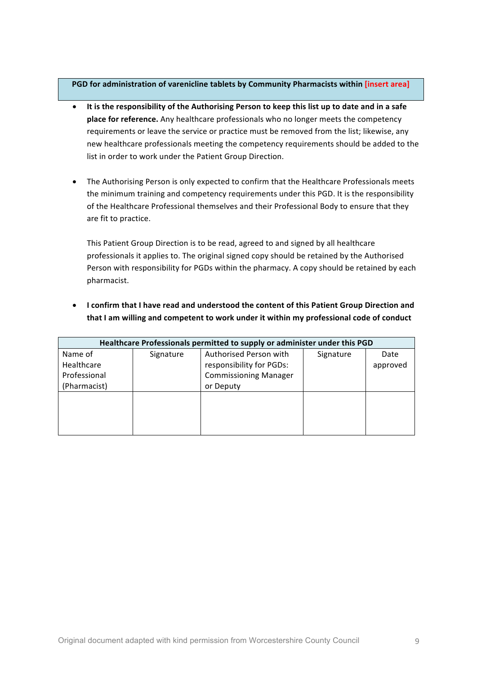### **PGD** for administration of varenicline tablets by Community Pharmacists within [insert area]

- It is the responsibility of the Authorising Person to keep this list up to date and in a safe **place for reference.** Any healthcare professionals who no longer meets the competency requirements or leave the service or practice must be removed from the list; likewise, any new healthcare professionals meeting the competency requirements should be added to the list in order to work under the Patient Group Direction.
- The Authorising Person is only expected to confirm that the Healthcare Professionals meets the minimum training and competency requirements under this PGD. It is the responsibility of the Healthcare Professional themselves and their Professional Body to ensure that they are fit to practice.

This Patient Group Direction is to be read, agreed to and signed by all healthcare professionals it applies to. The original signed copy should be retained by the Authorised Person with responsibility for PGDs within the pharmacy. A copy should be retained by each pharmacist.

• I confirm that I have read and understood the content of this Patient Group Direction and that I am willing and competent to work under it within my professional code of conduct

| Healthcare Professionals permitted to supply or administer under this PGD |           |                              |           |          |
|---------------------------------------------------------------------------|-----------|------------------------------|-----------|----------|
| Name of                                                                   | Signature | Authorised Person with       | Signature | Date     |
| Healthcare                                                                |           | responsibility for PGDs:     |           | approved |
| Professional                                                              |           | <b>Commissioning Manager</b> |           |          |
| (Pharmacist)                                                              |           | or Deputy                    |           |          |
|                                                                           |           |                              |           |          |
|                                                                           |           |                              |           |          |
|                                                                           |           |                              |           |          |
|                                                                           |           |                              |           |          |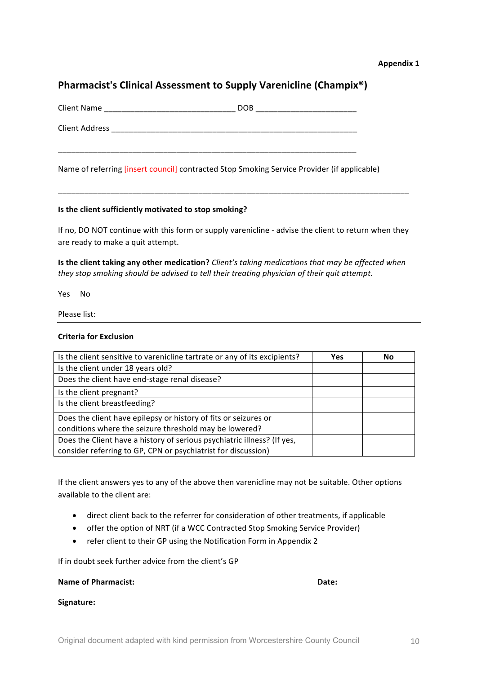#### **Appendix 1**

# **Pharmacist's Clinical Assessment to Supply Varenicline (Champix®)**

| <b>Client Name</b>    | DOB |
|-----------------------|-----|
| <b>Client Address</b> |     |
|                       |     |

Name of referring [insert council] contracted Stop Smoking Service Provider (if applicable)

### **Is the client sufficiently motivated to stop smoking?**

If no, DO NOT continue with this form or supply varenicline - advise the client to return when they are ready to make a quit attempt.

\_\_\_\_\_\_\_\_\_\_\_\_\_\_\_\_\_\_\_\_\_\_\_\_\_\_\_\_\_\_\_\_\_\_\_\_\_\_\_\_\_\_\_\_\_\_\_\_\_\_\_\_\_\_\_\_\_\_\_\_\_\_\_\_\_\_\_\_\_\_\_\_\_\_\_\_\_\_\_\_

**Is the client taking any other medication?** *Client's* taking medications that may be affected when *they stop smoking should be advised to tell their treating physician of their quit attempt.* 

Yes No

Please list:

#### **Criteria for Exclusion**

| Is the client sensitive to varenicline tartrate or any of its excipients? | <b>Yes</b> | No |
|---------------------------------------------------------------------------|------------|----|
| Is the client under 18 years old?                                         |            |    |
| Does the client have end-stage renal disease?                             |            |    |
| Is the client pregnant?                                                   |            |    |
| Is the client breastfeeding?                                              |            |    |
| Does the client have epilepsy or history of fits or seizures or           |            |    |
| conditions where the seizure threshold may be lowered?                    |            |    |
| Does the Client have a history of serious psychiatric illness? (If yes,   |            |    |
| consider referring to GP, CPN or psychiatrist for discussion)             |            |    |

If the client answers yes to any of the above then varenicline may not be suitable. Other options available to the client are:

- direct client back to the referrer for consideration of other treatments, if applicable
- offer the option of NRT (if a WCC Contracted Stop Smoking Service Provider)
- refer client to their GP using the Notification Form in Appendix 2

If in doubt seek further advice from the client's GP

#### **Name of Pharmacist: Date: Date: Date: Date: Date: Date: Date: Date: Date: Date: Date: Date: Date: Date: Date: Date: Date: Date: Date: Date: Date: Date: Date: Date: Date:**

**Signature:**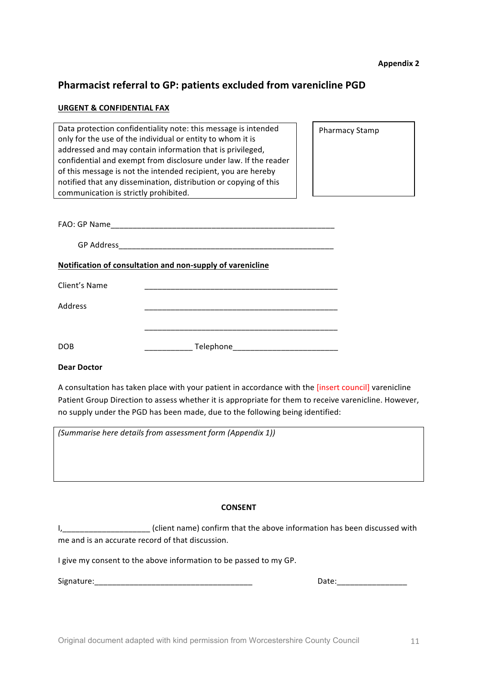# **Pharmacist referral to GP: patients excluded from varenicline PGD**

#### **URGENT & CONFIDENTIAL FAX**

| Data protection confidentiality note: this message is intended<br>only for the use of the individual or entity to whom it is<br>addressed and may contain information that is privileged,<br>confidential and exempt from disclosure under law. If the reader<br>of this message is not the intended recipient, you are hereby<br>notified that any dissemination, distribution or copying of this<br>communication is strictly prohibited. | <b>Pharmacy Stamp</b> |
|---------------------------------------------------------------------------------------------------------------------------------------------------------------------------------------------------------------------------------------------------------------------------------------------------------------------------------------------------------------------------------------------------------------------------------------------|-----------------------|
|                                                                                                                                                                                                                                                                                                                                                                                                                                             |                       |
|                                                                                                                                                                                                                                                                                                                                                                                                                                             |                       |
| Notification of consultation and non-supply of varenicline                                                                                                                                                                                                                                                                                                                                                                                  |                       |
| Client's Name                                                                                                                                                                                                                                                                                                                                                                                                                               |                       |
| Address                                                                                                                                                                                                                                                                                                                                                                                                                                     |                       |
|                                                                                                                                                                                                                                                                                                                                                                                                                                             |                       |
| DOB                                                                                                                                                                                                                                                                                                                                                                                                                                         |                       |

## **Dear Doctor**

A consultation has taken place with your patient in accordance with the [insert council] varenicline Patient Group Direction to assess whether it is appropriate for them to receive varenicline. However, no supply under the PGD has been made, due to the following being identified:

*(Summarise here details from assessment form (Appendix 1))*

#### **CONSENT**

I, 1. 2000 1. [1] (client name) confirm that the above information has been discussed with me and is an accurate record of that discussion.

I give my consent to the above information to be passed to my GP.

Signature:\_\_\_\_\_\_\_\_\_\_\_\_\_\_\_\_\_\_\_\_\_\_\_\_\_\_\_\_\_\_\_\_\_\_\_\_ Date:\_\_\_\_\_\_\_\_\_\_\_\_\_\_\_\_